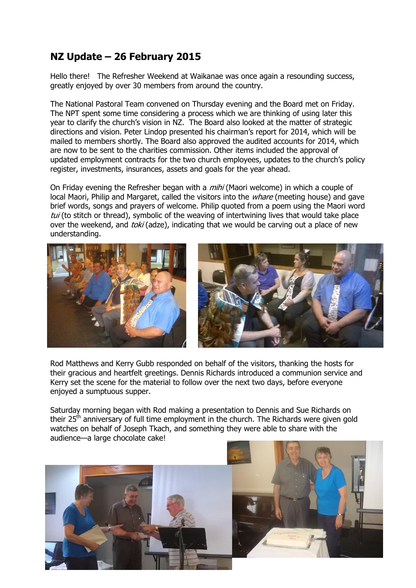## **NZ Update – 26 February 2015**

Hello there! The Refresher Weekend at Waikanae was once again a resounding success, greatly enjoyed by over 30 members from around the country.

The National Pastoral Team convened on Thursday evening and the Board met on Friday. The NPT spent some time considering a process which we are thinking of using later this year to clarify the church's vision in NZ. The Board also looked at the matter of strategic directions and vision. Peter Lindop presented his chairman's report for 2014, which will be mailed to members shortly. The Board also approved the audited accounts for 2014, which are now to be sent to the charities commission. Other items included the approval of updated employment contracts for the two church employees, updates to the church's policy register, investments, insurances, assets and goals for the year ahead.

On Friday evening the Refresher began with a *mihi* (Maori welcome) in which a couple of local Maori, Philip and Margaret, called the visitors into the *whare* (meeting house) and gave brief words, songs and prayers of welcome. Philip quoted from a poem using the Maori word tui (to stitch or thread), symbolic of the weaving of intertwining lives that would take place over the weekend, and toki (adze), indicating that we would be carving out a place of new understanding.



Rod Matthews and Kerry Gubb responded on behalf of the visitors, thanking the hosts for their gracious and heartfelt greetings. Dennis Richards introduced a communion service and Kerry set the scene for the material to follow over the next two days, before everyone enjoyed a sumptuous supper.

Saturday morning began with Rod making a presentation to Dennis and Sue Richards on their  $25<sup>th</sup>$  anniversary of full time employment in the church. The Richards were given gold watches on behalf of Joseph Tkach, and something they were able to share with the audience—a large chocolate cake!

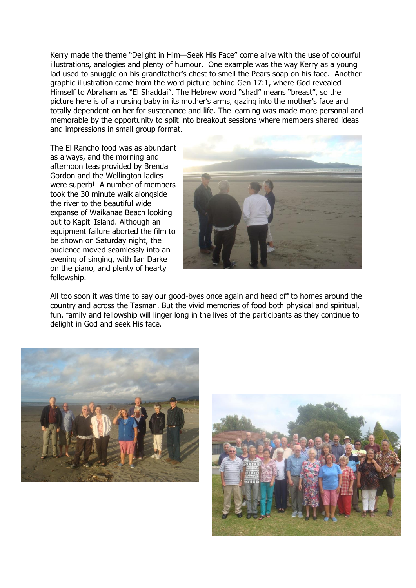Kerry made the theme "Delight in Him—Seek His Face" come alive with the use of colourful illustrations, analogies and plenty of humour. One example was the way Kerry as a young lad used to snuggle on his grandfather's chest to smell the Pears soap on his face. Another graphic illustration came from the word picture behind Gen 17:1, where God revealed Himself to Abraham as "El Shaddai". The Hebrew word "shad" means "breast", so the picture here is of a nursing baby in its mother's arms, gazing into the mother's face and totally dependent on her for sustenance and life. The learning was made more personal and memorable by the opportunity to split into breakout sessions where members shared ideas and impressions in small group format.

The El Rancho food was as abundant as always, and the morning and afternoon teas provided by Brenda Gordon and the Wellington ladies were superb! A number of members took the 30 minute walk alongside the river to the beautiful wide expanse of Waikanae Beach looking out to Kapiti Island. Although an equipment failure aborted the film to be shown on Saturday night, the audience moved seamlessly into an evening of singing, with Ian Darke on the piano, and plenty of hearty fellowship.



All too soon it was time to say our good-byes once again and head off to homes around the country and across the Tasman. But the vivid memories of food both physical and spiritual, fun, family and fellowship will linger long in the lives of the participants as they continue to delight in God and seek His face.